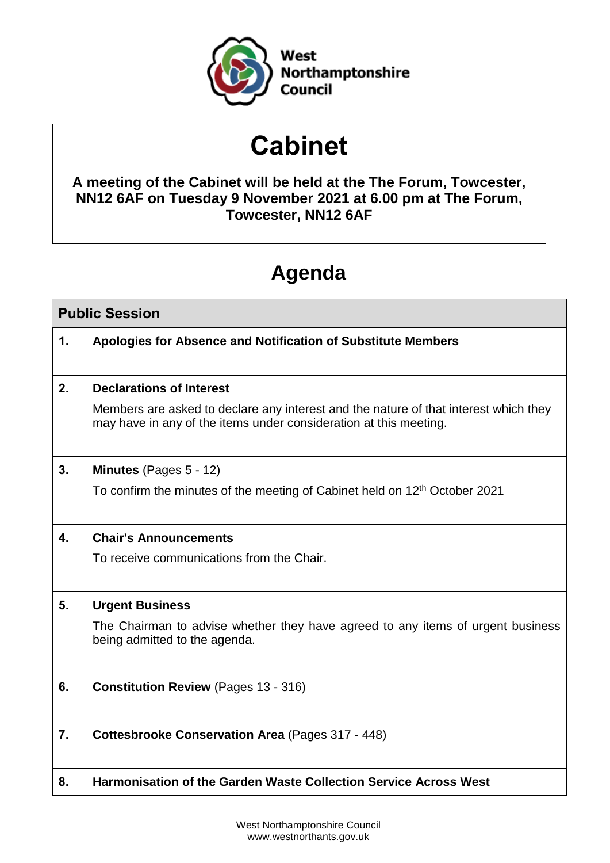

# **Cabinet**

## **A meeting of the Cabinet will be held at the The Forum, Towcester, NN12 6AF on Tuesday 9 November 2021 at 6.00 pm at The Forum, Towcester, NN12 6AF**

# **Agenda**

| <b>Public Session</b> |                                                                                                                                                           |
|-----------------------|-----------------------------------------------------------------------------------------------------------------------------------------------------------|
| 1.                    | Apologies for Absence and Notification of Substitute Members                                                                                              |
|                       |                                                                                                                                                           |
| 2.                    | <b>Declarations of Interest</b>                                                                                                                           |
|                       | Members are asked to declare any interest and the nature of that interest which they<br>may have in any of the items under consideration at this meeting. |
| 3.                    | Minutes (Pages 5 - 12)                                                                                                                                    |
|                       | To confirm the minutes of the meeting of Cabinet held on 12 <sup>th</sup> October 2021                                                                    |
|                       |                                                                                                                                                           |
| 4.                    | <b>Chair's Announcements</b>                                                                                                                              |
|                       | To receive communications from the Chair.                                                                                                                 |
|                       |                                                                                                                                                           |
| 5.                    | <b>Urgent Business</b>                                                                                                                                    |
|                       | The Chairman to advise whether they have agreed to any items of urgent business<br>being admitted to the agenda.                                          |
| 6.                    | <b>Constitution Review (Pages 13 - 316)</b>                                                                                                               |
| 7.                    | <b>Cottesbrooke Conservation Area (Pages 317 - 448)</b>                                                                                                   |
| 8.                    | <b>Harmonisation of the Garden Waste Collection Service Across West</b>                                                                                   |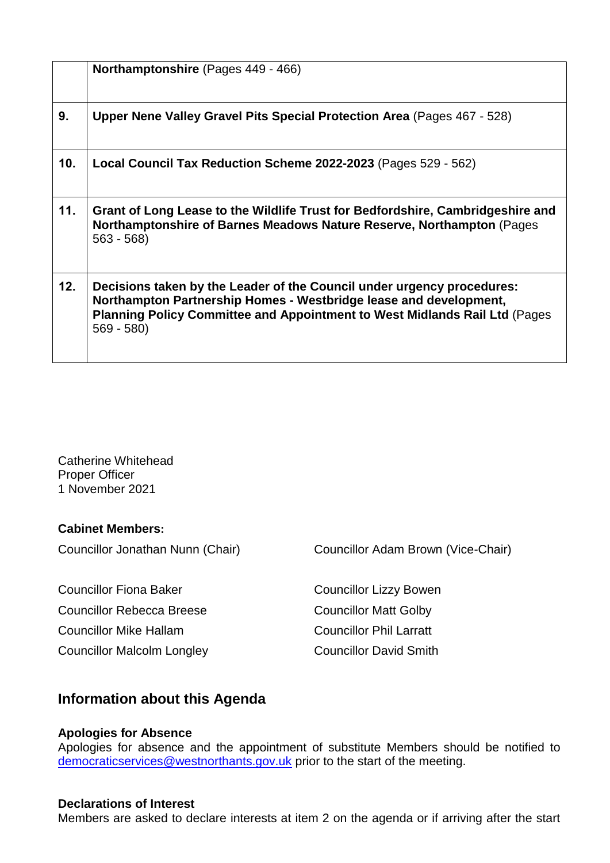|     | Northamptonshire (Pages 449 - 466)                                                                                                                                                                                                       |
|-----|------------------------------------------------------------------------------------------------------------------------------------------------------------------------------------------------------------------------------------------|
| 9.  | Upper Nene Valley Gravel Pits Special Protection Area (Pages 467 - 528)                                                                                                                                                                  |
| 10. | Local Council Tax Reduction Scheme 2022-2023 (Pages 529 - 562)                                                                                                                                                                           |
| 11. | Grant of Long Lease to the Wildlife Trust for Bedfordshire, Cambridgeshire and<br>Northamptonshire of Barnes Meadows Nature Reserve, Northampton (Pages<br>$563 - 568$                                                                   |
| 12. | Decisions taken by the Leader of the Council under urgency procedures:<br>Northampton Partnership Homes - Westbridge lease and development,<br>Planning Policy Committee and Appointment to West Midlands Rail Ltd (Pages<br>$569 - 580$ |

Catherine Whitehead Proper Officer 1 November 2021

#### **Cabinet Members:**

Councillor Rebecca Breese Councillor Matt Golby

Councillor Malcolm Longley Councillor David Smith

Councillor Jonathan Nunn (Chair) Councillor Adam Brown (Vice-Chair)

Councillor Fiona Baker Councillor Lizzy Bowen Councillor Mike Hallam Councillor Phil Larratt

### **Information about this Agenda**

#### **Apologies for Absence**

Apologies for absence and the appointment of substitute Members should be notified to [democraticservices@westnorthants.gov.uk](mailto:democraticservices@westnorthants.gov.uk) prior to the start of the meeting.

#### **Declarations of Interest**

Members are asked to declare interests at item 2 on the agenda or if arriving after the start